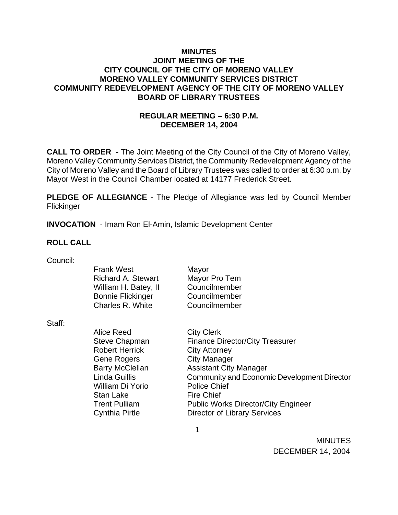### **MINUTES JOINT MEETING OF THE CITY COUNCIL OF THE CITY OF MORENO VALLEY MORENO VALLEY COMMUNITY SERVICES DISTRICT COMMUNITY REDEVELOPMENT AGENCY OF THE CITY OF MORENO VALLEY BOARD OF LIBRARY TRUSTEES**

## **REGULAR MEETING – 6:30 P.M. DECEMBER 14, 2004**

**CALL TO ORDER** - The Joint Meeting of the City Council of the City of Moreno Valley, Moreno Valley Community Services District, the Community Redevelopment Agency of the City of Moreno Valley and the Board of Library Trustees was called to order at 6:30 p.m. by Mayor West in the Council Chamber located at 14177 Frederick Street.

**PLEDGE OF ALLEGIANCE** - The Pledge of Allegiance was led by Council Member **Flickinger** 

**INVOCATION** - Imam Ron El-Amin, Islamic Development Center

### **ROLL CALL**

| Council: |  |
|----------|--|
|          |  |

| <b>Frank West</b>         | Mayor                                       |
|---------------------------|---------------------------------------------|
| <b>Richard A. Stewart</b> | Mayor Pro Tem                               |
| William H. Batey, II      | Councilmember                               |
| <b>Bonnie Flickinger</b>  | Councilmember                               |
| Charles R. White          | Councilmember                               |
|                           |                                             |
| <b>Alice Reed</b>         | <b>City Clerk</b>                           |
| Steve Chapman             | <b>Finance Director/City Treasurer</b>      |
| <b>Robert Herrick</b>     | <b>City Attorney</b>                        |
| <b>Gene Rogers</b>        | City Manager                                |
| <b>Barry McClellan</b>    | <b>Assistant City Manager</b>               |
| Linda Guillis             | Community and Economic Development Director |
| William Di Yorio          | <b>Police Chief</b>                         |
| Stan Lake                 | <b>Fire Chief</b>                           |
| <b>Trent Pulliam</b>      | <b>Public Works Director/City Engineer</b>  |
| Cynthia Pirtle            | <b>Director of Library Services</b>         |
|                           |                                             |

 $\sim$  1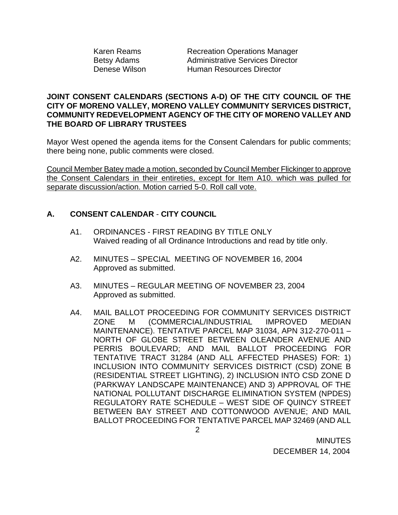| Karen Reams   |
|---------------|
| Betsy Adams   |
| Denese Wilson |

**Recreation Operations Manager** Administrative Services Director Human Resources Director

### **JOINT CONSENT CALENDARS (SECTIONS A-D) OF THE CITY COUNCIL OF THE CITY OF MORENO VALLEY, MORENO VALLEY COMMUNITY SERVICES DISTRICT, COMMUNITY REDEVELOPMENT AGENCY OF THE CITY OF MORENO VALLEY AND THE BOARD OF LIBRARY TRUSTEES**

Mayor West opened the agenda items for the Consent Calendars for public comments; there being none, public comments were closed.

Council Member Batey made a motion, seconded by Council Member Flickinger to approve the Consent Calendars in their entireties, except for Item A10. which was pulled for separate discussion/action. Motion carried 5-0. Roll call vote.

# **A. CONSENT CALENDAR** - **CITY COUNCIL**

- A1. ORDINANCES FIRST READING BY TITLE ONLY Waived reading of all Ordinance Introductions and read by title only.
- A2. MINUTES SPECIAL MEETING OF NOVEMBER 16, 2004 Approved as submitted.
- A3. MINUTES REGULAR MEETING OF NOVEMBER 23, 2004 Approved as submitted.
- A4. MAIL BALLOT PROCEEDING FOR COMMUNITY SERVICES DISTRICT ZONE M (COMMERCIAL/INDUSTRIAL IMPROVED MEDIAN MAINTENANCE). TENTATIVE PARCEL MAP 31034, APN 312-270-011 – NORTH OF GLOBE STREET BETWEEN OLEANDER AVENUE AND PERRIS BOULEVARD; AND MAIL BALLOT PROCEEDING FOR TENTATIVE TRACT 31284 (AND ALL AFFECTED PHASES) FOR: 1) INCLUSION INTO COMMUNITY SERVICES DISTRICT (CSD) ZONE B (RESIDENTIAL STREET LIGHTING), 2) INCLUSION INTO CSD ZONE D (PARKWAY LANDSCAPE MAINTENANCE) AND 3) APPROVAL OF THE NATIONAL POLLUTANT DISCHARGE ELIMINATION SYSTEM (NPDES) REGULATORY RATE SCHEDULE – WEST SIDE OF QUINCY STREET BETWEEN BAY STREET AND COTTONWOOD AVENUE; AND MAIL BALLOT PROCEEDING FOR TENTATIVE PARCEL MAP 32469 (AND ALL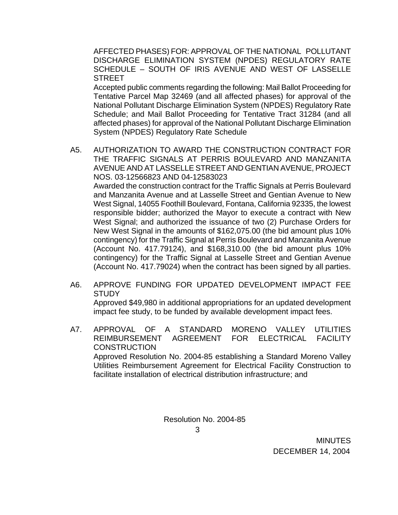AFFECTED PHASES) FOR: APPROVAL OF THE NATIONAL POLLUTANT DISCHARGE ELIMINATION SYSTEM (NPDES) REGULATORY RATE SCHEDULE – SOUTH OF IRIS AVENUE AND WEST OF LASSELLE STREET

 Accepted public comments regarding the following: Mail Ballot Proceeding for Tentative Parcel Map 32469 (and all affected phases) for approval of the National Pollutant Discharge Elimination System (NPDES) Regulatory Rate Schedule; and Mail Ballot Proceeding for Tentative Tract 31284 (and all affected phases) for approval of the National Pollutant Discharge Elimination System (NPDES) Regulatory Rate Schedule

- A5. AUTHORIZATION TO AWARD THE CONSTRUCTION CONTRACT FOR THE TRAFFIC SIGNALS AT PERRIS BOULEVARD AND MANZANITA AVENUE AND AT LASSELLE STREET AND GENTIAN AVENUE, PROJECT NOS. 03-12566823 AND 04-12583023 Awarded the construction contract for the Traffic Signals at Perris Boulevard and Manzanita Avenue and at Lasselle Street and Gentian Avenue to New West Signal, 14055 Foothill Boulevard, Fontana, California 92335, the lowest responsible bidder; authorized the Mayor to execute a contract with New West Signal; and authorized the issuance of two (2) Purchase Orders for New West Signal in the amounts of \$162,075.00 (the bid amount plus 10% contingency) for the Traffic Signal at Perris Boulevard and Manzanita Avenue (Account No. 417.79124), and \$168,310.00 (the bid amount plus 10% contingency) for the Traffic Signal at Lasselle Street and Gentian Avenue (Account No. 417.79024) when the contract has been signed by all parties.
- A6. APPROVE FUNDING FOR UPDATED DEVELOPMENT IMPACT FEE STUDY

 Approved \$49,980 in additional appropriations for an updated development impact fee study, to be funded by available development impact fees.

A7. APPROVAL OF A STANDARD MORENO VALLEY UTILITIES REIMBURSEMENT AGREEMENT FOR ELECTRICAL FACILITY **CONSTRUCTION** Approved Resolution No. 2004-85 establishing a Standard Moreno Valley Utilities Reimbursement Agreement for Electrical Facility Construction to facilitate installation of electrical distribution infrastructure; and

Resolution No. 2004-85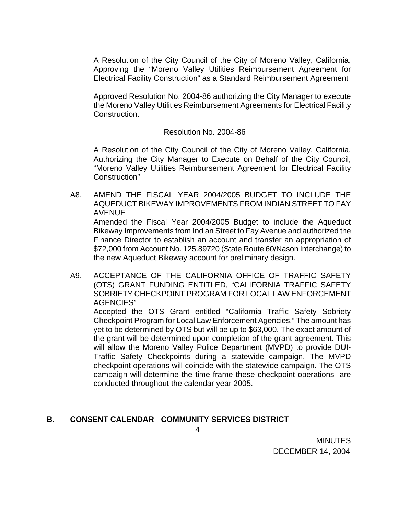A Resolution of the City Council of the City of Moreno Valley, California, Approving the "Moreno Valley Utilities Reimbursement Agreement for Electrical Facility Construction" as a Standard Reimbursement Agreement

Approved Resolution No. 2004-86 authorizing the City Manager to execute the Moreno Valley Utilities Reimbursement Agreements for Electrical Facility Construction.

#### Resolution No. 2004-86

 A Resolution of the City Council of the City of Moreno Valley, California, Authorizing the City Manager to Execute on Behalf of the City Council, "Moreno Valley Utilities Reimbursement Agreement for Electrical Facility Construction"

- A8. AMEND THE FISCAL YEAR 2004/2005 BUDGET TO INCLUDE THE AQUEDUCT BIKEWAY IMPROVEMENTS FROM INDIAN STREET TO FAY AVENUE Amended the Fiscal Year 2004/2005 Budget to include the Aqueduct Bikeway Improvements from Indian Street to Fay Avenue and authorized the Finance Director to establish an account and transfer an appropriation of \$72,000 from Account No. 125.89720 (State Route 60/Nason Interchange) to the new Aqueduct Bikeway account for preliminary design.
- A9. ACCEPTANCE OF THE CALIFORNIA OFFICE OF TRAFFIC SAFETY (OTS) GRANT FUNDING ENTITLED, "CALIFORNIA TRAFFIC SAFETY SOBRIETY CHECKPOINT PROGRAM FOR LOCAL LAW ENFORCEMENT AGENCIES"

 Accepted the OTS Grant entitled "California Traffic Safety Sobriety Checkpoint Program for Local Law Enforcement Agencies." The amount has yet to be determined by OTS but will be up to \$63,000. The exact amount of the grant will be determined upon completion of the grant agreement. This will allow the Moreno Valley Police Department (MVPD) to provide DUI-Traffic Safety Checkpoints during a statewide campaign. The MVPD checkpoint operations will coincide with the statewide campaign. The OTS campaign will determine the time frame these checkpoint operations are conducted throughout the calendar year 2005.

### **B. CONSENT CALENDAR** - **COMMUNITY SERVICES DISTRICT**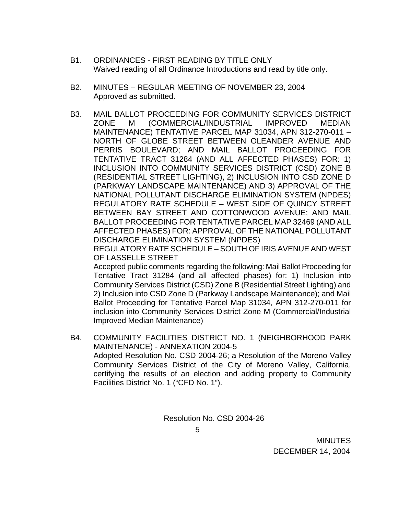- B1. ORDINANCES FIRST READING BY TITLE ONLY Waived reading of all Ordinance Introductions and read by title only.
- B2. MINUTES REGULAR MEETING OF NOVEMBER 23, 2004 Approved as submitted.
- B3. MAIL BALLOT PROCEEDING FOR COMMUNITY SERVICES DISTRICT ZONE M (COMMERCIAL/INDUSTRIAL IMPROVED MEDIAN MAINTENANCE) TENTATIVE PARCEL MAP 31034, APN 312-270-011 – NORTH OF GLOBE STREET BETWEEN OLEANDER AVENUE AND PERRIS BOULEVARD; AND MAIL BALLOT PROCEEDING FOR TENTATIVE TRACT 31284 (AND ALL AFFECTED PHASES) FOR: 1) INCLUSION INTO COMMUNITY SERVICES DISTRICT (CSD) ZONE B (RESIDENTIAL STREET LIGHTING), 2) INCLUSION INTO CSD ZONE D (PARKWAY LANDSCAPE MAINTENANCE) AND 3) APPROVAL OF THE NATIONAL POLLUTANT DISCHARGE ELIMINATION SYSTEM (NPDES) REGULATORY RATE SCHEDULE – WEST SIDE OF QUINCY STREET BETWEEN BAY STREET AND COTTONWOOD AVENUE; AND MAIL BALLOT PROCEEDING FOR TENTATIVE PARCEL MAP 32469 (AND ALL AFFECTED PHASES) FOR: APPROVAL OF THE NATIONAL POLLUTANT DISCHARGE ELIMINATION SYSTEM (NPDES)

REGULATORY RATE SCHEDULE – SOUTH OF IRIS AVENUE AND WEST OF LASSELLE STREET

Accepted public comments regarding the following: Mail Ballot Proceeding for Tentative Tract 31284 (and all affected phases) for: 1) Inclusion into Community Services District (CSD) Zone B (Residential Street Lighting) and 2) Inclusion into CSD Zone D (Parkway Landscape Maintenance); and Mail Ballot Proceeding for Tentative Parcel Map 31034, APN 312-270-011 for inclusion into Community Services District Zone M (Commercial/Industrial Improved Median Maintenance)

B4. COMMUNITY FACILITIES DISTRICT NO. 1 (NEIGHBORHOOD PARK MAINTENANCE) - ANNEXATION 2004-5 Adopted Resolution No. CSD 2004-26; a Resolution of the Moreno Valley Community Services District of the City of Moreno Valley, California, certifying the results of an election and adding property to Community Facilities District No. 1 ("CFD No. 1").

Resolution No. CSD 2004-26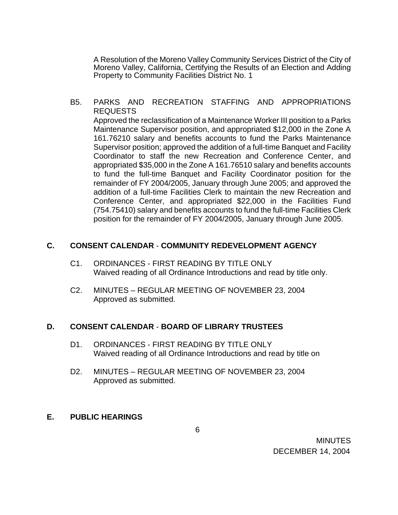A Resolution of the Moreno Valley Community Services District of the City of Moreno Valley, California, Certifying the Results of an Election and Adding Property to Community Facilities District No. 1

B5. PARKS AND RECREATION STAFFING AND APPROPRIATIONS REQUESTS

 Approved the reclassification of a Maintenance Worker III position to a Parks Maintenance Supervisor position, and appropriated \$12,000 in the Zone A 161.76210 salary and benefits accounts to fund the Parks Maintenance Supervisor position; approved the addition of a full-time Banquet and Facility Coordinator to staff the new Recreation and Conference Center, and appropriated \$35,000 in the Zone A 161.76510 salary and benefits accounts to fund the full-time Banquet and Facility Coordinator position for the remainder of FY 2004/2005, January through June 2005; and approved the addition of a full-time Facilities Clerk to maintain the new Recreation and Conference Center, and appropriated \$22,000 in the Facilities Fund (754.75410) salary and benefits accounts to fund the full-time Facilities Clerk position for the remainder of FY 2004/2005, January through June 2005.

#### **C. CONSENT CALENDAR** - **COMMUNITY REDEVELOPMENT AGENCY**

- C1. ORDINANCES FIRST READING BY TITLE ONLY Waived reading of all Ordinance Introductions and read by title only.
- C2. MINUTES REGULAR MEETING OF NOVEMBER 23, 2004 Approved as submitted.

#### **D. CONSENT CALENDAR** - **BOARD OF LIBRARY TRUSTEES**

- D1. ORDINANCES FIRST READING BY TITLE ONLY Waived reading of all Ordinance Introductions and read by title on
- D2. MINUTES REGULAR MEETING OF NOVEMBER 23, 2004 Approved as submitted.

### **E. PUBLIC HEARINGS**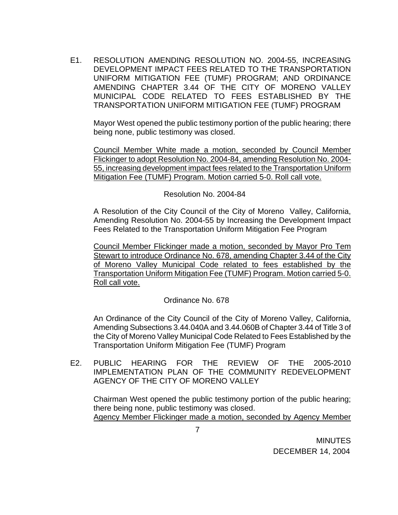E1. RESOLUTION AMENDING RESOLUTION NO. 2004-55, INCREASING DEVELOPMENT IMPACT FEES RELATED TO THE TRANSPORTATION UNIFORM MITIGATION FEE (TUMF) PROGRAM; AND ORDINANCE AMENDING CHAPTER 3.44 OF THE CITY OF MORENO VALLEY MUNICIPAL CODE RELATED TO FEES ESTABLISHED BY THE TRANSPORTATION UNIFORM MITIGATION FEE (TUMF) PROGRAM

Mayor West opened the public testimony portion of the public hearing; there being none, public testimony was closed.

 Council Member White made a motion, seconded by Council Member Flickinger to adopt Resolution No. 2004-84, amending Resolution No. 2004- 55, increasing development impact fees related to the Transportation Uniform Mitigation Fee (TUMF) Program. Motion carried 5-0. Roll call vote.

Resolution No. 2004-84

 A Resolution of the City Council of the City of Moreno Valley, California, Amending Resolution No. 2004-55 by Increasing the Development Impact Fees Related to the Transportation Uniform Mitigation Fee Program

Council Member Flickinger made a motion, seconded by Mayor Pro Tem Stewart to introduce Ordinance No. 678, amending Chapter 3.44 of the City of Moreno Valley Municipal Code related to fees established by the Transportation Uniform Mitigation Fee (TUMF) Program. Motion carried 5-0. Roll call vote.

# Ordinance No. 678

 An Ordinance of the City Council of the City of Moreno Valley, California, Amending Subsections 3.44.040A and 3.44.060B of Chapter 3.44 of Title 3 of the City of Moreno Valley Municipal Code Related to Fees Established by the Transportation Uniform Mitigation Fee (TUMF) Program

E2. PUBLIC HEARING FOR THE REVIEW OF THE 2005-2010 IMPLEMENTATION PLAN OF THE COMMUNITY REDEVELOPMENT AGENCY OF THE CITY OF MORENO VALLEY

Chairman West opened the public testimony portion of the public hearing; there being none, public testimony was closed. Agency Member Flickinger made a motion, seconded by Agency Member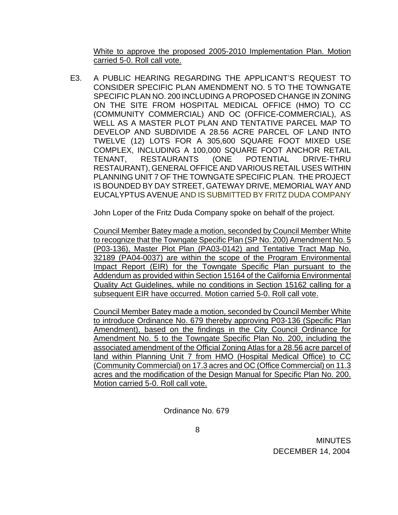White to approve the proposed 2005-2010 Implementation Plan. Motion carried 5-0. Roll call vote.

E3. A PUBLIC HEARING REGARDING THE APPLICANT'S REQUEST TO CONSIDER SPECIFIC PLAN AMENDMENT NO. 5 TO THE TOWNGATE SPECIFIC PLAN NO. 200 INCLUDING A PROPOSED CHANGE IN ZONING ON THE SITE FROM HOSPITAL MEDICAL OFFICE (HMO) TO CC (COMMUNITY COMMERCIAL) AND OC (OFFICE-COMMERCIAL), AS WELL AS A MASTER PLOT PLAN AND TENTATIVE PARCEL MAP TO DEVELOP AND SUBDIVIDE A 28.56 ACRE PARCEL OF LAND INTO TWELVE (12) LOTS FOR A 305,600 SQUARE FOOT MIXED USE COMPLEX, INCLUDING A 100,000 SQUARE FOOT ANCHOR RETAIL TENANT, RESTAURANTS (ONE POTENTIAL DRIVE-THRU RESTAURANT), GENERAL OFFICE AND VARIOUS RETAIL USES WITHIN PLANNING UNIT 7 OF THE TOWNGATE SPECIFIC PLAN. THE PROJECT IS BOUNDED BY DAY STREET, GATEWAY DRIVE, MEMORIAL WAY AND EUCALYPTUS AVENUE AND IS SUBMITTED BY FRITZ DUDA COMPANY

John Loper of the Fritz Duda Company spoke on behalf of the project.

 Council Member Batey made a motion, seconded by Council Member White to recognize that the Towngate Specific Plan (SP No. 200) Amendment No. 5 (P03-136), Master Plot Plan (PA03-0142) and Tentative Tract Map No. 32189 (PA04-0037) are within the scope of the Program Environmental Impact Report (EIR) for the Towngate Specific Plan pursuant to the Addendum as provided within Section 15164 of the California Environmental Quality Act Guidelines, while no conditions in Section 15162 calling for a subsequent EIR have occurred. Motion carried 5-0. Roll call vote.

Council Member Batey made a motion, seconded by Council Member White to introduce Ordinance No. 679 thereby approving P03-136 (Specific Plan Amendment), based on the findings in the City Council Ordinance for Amendment No. 5 to the Towngate Specific Plan No. 200, including the associated amendment of the Official Zoning Atlas for a 28.56 acre parcel of land within Planning Unit 7 from HMO (Hospital Medical Office) to CC (Community Commercial) on 17.3 acres and OC (Office Commercial) on 11.3 acres and the modification of the Design Manual for Specific Plan No. 200. Motion carried 5-0. Roll call vote.

Ordinance No. 679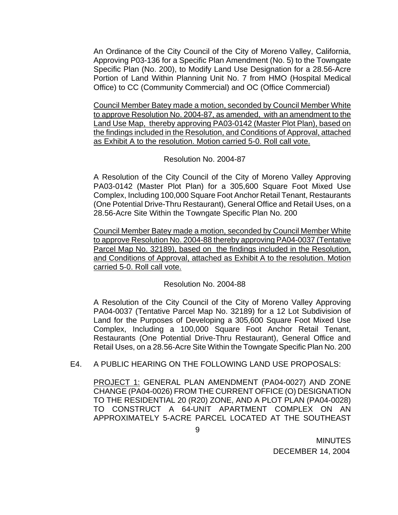An Ordinance of the City Council of the City of Moreno Valley, California, Approving P03-136 for a Specific Plan Amendment (No. 5) to the Towngate Specific Plan (No. 200), to Modify Land Use Designation for a 28.56-Acre Portion of Land Within Planning Unit No. 7 from HMO (Hospital Medical Office) to CC (Community Commercial) and OC (Office Commercial)

 Council Member Batey made a motion, seconded by Council Member White to approve Resolution No. 2004-87, as amended, with an amendment to the Land Use Map, thereby approving PA03-0142 (Master Plot Plan), based on the findings included in the Resolution, and Conditions of Approval, attached as Exhibit A to the resolution. Motion carried 5-0. Roll call vote.

### Resolution No. 2004-87

 A Resolution of the City Council of the City of Moreno Valley Approving PA03-0142 (Master Plot Plan) for a 305,600 Square Foot Mixed Use Complex, Including 100,000 Square Foot Anchor Retail Tenant, Restaurants (One Potential Drive-Thru Restaurant), General Office and Retail Uses, on a 28.56-Acre Site Within the Towngate Specific Plan No. 200

Council Member Batey made a motion, seconded by Council Member White to approve Resolution No. 2004-88 thereby approving PA04-0037 (Tentative Parcel Map No. 32189), based on the findings included in the Resolution, and Conditions of Approval, attached as Exhibit A to the resolution. Motion carried 5-0. Roll call vote.

### Resolution No. 2004-88

 A Resolution of the City Council of the City of Moreno Valley Approving PA04-0037 (Tentative Parcel Map No. 32189) for a 12 Lot Subdivision of Land for the Purposes of Developing a 305,600 Square Foot Mixed Use Complex, Including a 100,000 Square Foot Anchor Retail Tenant, Restaurants (One Potential Drive-Thru Restaurant), General Office and Retail Uses, on a 28.56-Acre Site Within the Towngate Specific Plan No. 200

E4. A PUBLIC HEARING ON THE FOLLOWING LAND USE PROPOSALS:

PROJECT 1: GENERAL PLAN AMENDMENT (PA04-0027) AND ZONE CHANGE (PA04-0026) FROM THE CURRENT OFFICE (O) DESIGNATION TO THE RESIDENTIAL 20 (R20) ZONE, AND A PLOT PLAN (PA04-0028) TO CONSTRUCT A 64-UNIT APARTMENT COMPLEX ON AN APPROXIMATELY 5-ACRE PARCEL LOCATED AT THE SOUTHEAST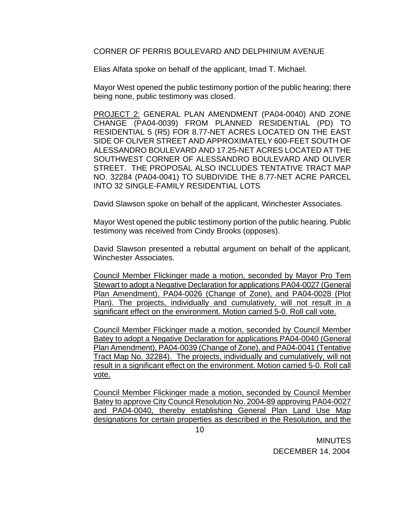#### CORNER OF PERRIS BOULEVARD AND DELPHINIUM AVENUE

Elias Alfata spoke on behalf of the applicant, Imad T. Michael.

Mayor West opened the public testimony portion of the public hearing; there being none, public testimony was closed.

PROJECT 2: GENERAL PLAN AMENDMENT (PA04-0040) AND ZONE CHANGE (PA04-0039) FROM PLANNED RESIDENTIAL (PD) TO RESIDENTIAL 5 (R5) FOR 8.77-NET ACRES LOCATED ON THE EAST SIDE OF OLIVER STREET AND APPROXIMATELY 600-FEET SOUTH OF ALESSANDRO BOULEVARD AND 17.25-NET ACRES LOCATED AT THE SOUTHWEST CORNER OF ALESSANDRO BOULEVARD AND OLIVER STREET. THE PROPOSAL ALSO INCLUDES TENTATIVE TRACT MAP NO. 32284 (PA04-0041) TO SUBDIVIDE THE 8.77-NET ACRE PARCEL INTO 32 SINGLE-FAMILY RESIDENTIAL LOTS

David Slawson spoke on behalf of the applicant, Winchester Associates.

Mayor West opened the public testimony portion of the public hearing. Public testimony was received from Cindy Brooks (opposes).

David Slawson presented a rebuttal argument on behalf of the applicant, Winchester Associates.

Council Member Flickinger made a motion, seconded by Mayor Pro Tem Stewart to adopt a Negative Declaration for applications PA04-0027 (General Plan Amendment), PA04-0026 (Change of Zone), and PA04-0028 (Plot Plan). The projects, individually and cumulatively, will not result in a significant effect on the environment. Motion carried 5-0. Roll call vote.

 Council Member Flickinger made a motion, seconded by Council Member Batey to adopt a Negative Declaration for applications PA04-0040 (General Plan Amendment), PA04-0039 (Change of Zone), and PA04-0041 (Tentative Tract Map No. 32284). The projects, individually and cumulatively, will not result in a significant effect on the environment. Motion carried 5-0. Roll call vote.

Council Member Flickinger made a motion, seconded by Council Member Batey to approve City Council Resolution No. 2004-89 approving PA04-0027 and PA04-0040, thereby establishing General Plan Land Use Map designations for certain properties as described in the Resolution, and the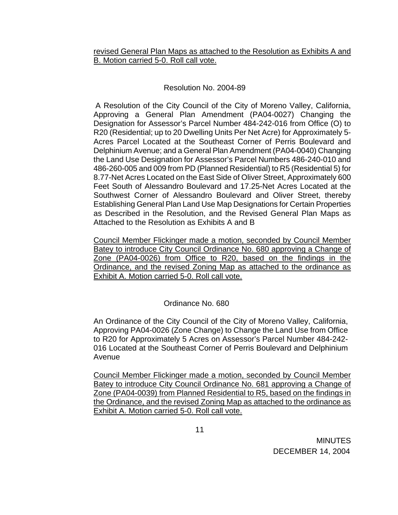revised General Plan Maps as attached to the Resolution as Exhibits A and B. Motion carried 5-0. Roll call vote.

### Resolution No. 2004-89

 A Resolution of the City Council of the City of Moreno Valley, California, Approving a General Plan Amendment (PA04-0027) Changing the Designation for Assessor's Parcel Number 484-242-016 from Office (O) to R20 (Residential; up to 20 Dwelling Units Per Net Acre) for Approximately 5- Acres Parcel Located at the Southeast Corner of Perris Boulevard and Delphinium Avenue; and a General Plan Amendment (PA04-0040) Changing the Land Use Designation for Assessor's Parcel Numbers 486-240-010 and 486-260-005 and 009 from PD (Planned Residential) to R5 (Residential 5) for 8.77-Net Acres Located on the East Side of Oliver Street, Approximately 600 Feet South of Alessandro Boulevard and 17.25-Net Acres Located at the Southwest Corner of Alessandro Boulevard and Oliver Street, thereby Establishing General Plan Land Use Map Designations for Certain Properties as Described in the Resolution, and the Revised General Plan Maps as Attached to the Resolution as Exhibits A and B

 Council Member Flickinger made a motion, seconded by Council Member Batey to introduce City Council Ordinance No. 680 approving a Change of Zone (PA04-0026) from Office to R20, based on the findings in the Ordinance, and the revised Zoning Map as attached to the ordinance as Exhibit A. Motion carried 5-0. Roll call vote.

# Ordinance No. 680

An Ordinance of the City Council of the City of Moreno Valley, California, Approving PA04-0026 (Zone Change) to Change the Land Use from Office to R20 for Approximately 5 Acres on Assessor's Parcel Number 484-242- 016 Located at the Southeast Corner of Perris Boulevard and Delphinium Avenue

 Council Member Flickinger made a motion, seconded by Council Member Batey to introduce City Council Ordinance No. 681 approving a Change of Zone (PA04-0039) from Planned Residential to R5, based on the findings in the Ordinance, and the revised Zoning Map as attached to the ordinance as Exhibit A. Motion carried 5-0. Roll call vote.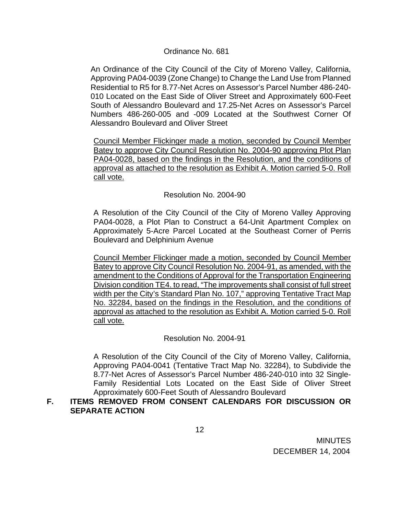#### Ordinance No. 681

An Ordinance of the City Council of the City of Moreno Valley, California, Approving PA04-0039 (Zone Change) to Change the Land Use from Planned Residential to R5 for 8.77-Net Acres on Assessor's Parcel Number 486-240- 010 Located on the East Side of Oliver Street and Approximately 600-Feet South of Alessandro Boulevard and 17.25-Net Acres on Assessor's Parcel Numbers 486-260-005 and -009 Located at the Southwest Corner Of Alessandro Boulevard and Oliver Street

 Council Member Flickinger made a motion, seconded by Council Member Batey to approve City Council Resolution No. 2004-90 approving Plot Plan PA04-0028, based on the findings in the Resolution, and the conditions of approval as attached to the resolution as Exhibit A. Motion carried 5-0. Roll call vote.

### Resolution No. 2004-90

A Resolution of the City Council of the City of Moreno Valley Approving PA04-0028, a Plot Plan to Construct a 64-Unit Apartment Complex on Approximately 5-Acre Parcel Located at the Southeast Corner of Perris Boulevard and Delphinium Avenue

Council Member Flickinger made a motion, seconded by Council Member Batey to approve City Council Resolution No. 2004-91, as amended, with the amendment to the Conditions of Approval for the Transportation Engineering Division condition TE4. to read, "The improvements shall consist of full street width per the City's Standard Plan No. 107," approving Tentative Tract Map No. 32284, based on the findings in the Resolution, and the conditions of approval as attached to the resolution as Exhibit A. Motion carried 5-0. Roll call vote.

### Resolution No. 2004-91

A Resolution of the City Council of the City of Moreno Valley, California, Approving PA04-0041 (Tentative Tract Map No. 32284), to Subdivide the 8.77-Net Acres of Assessor's Parcel Number 486-240-010 into 32 Single-Family Residential Lots Located on the East Side of Oliver Street Approximately 600-Feet South of Alessandro Boulevard

### **F. ITEMS REMOVED FROM CONSENT CALENDARS FOR DISCUSSION OR SEPARATE ACTION**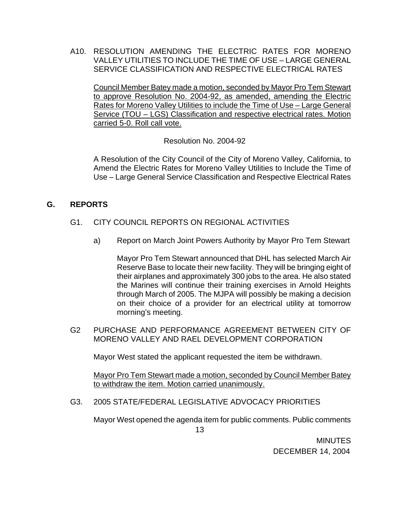A10. RESOLUTION AMENDING THE ELECTRIC RATES FOR MORENO VALLEY UTILITIES TO INCLUDE THE TIME OF USE – LARGE GENERAL SERVICE CLASSIFICATION AND RESPECTIVE ELECTRICAL RATES

 Council Member Batey made a motion, seconded by Mayor Pro Tem Stewart to approve Resolution No. 2004-92, as amended, amending the Electric Rates for Moreno Valley Utilities to include the Time of Use – Large General Service (TOU – LGS) Classification and respective electrical rates. Motion carried 5-0. Roll call vote.

Resolution No. 2004-92

 A Resolution of the City Council of the City of Moreno Valley, California, to Amend the Electric Rates for Moreno Valley Utilities to Include the Time of Use – Large General Service Classification and Respective Electrical Rates

# **G. REPORTS**

- G1. CITY COUNCIL REPORTS ON REGIONAL ACTIVITIES
	- a) Report on March Joint Powers Authority by Mayor Pro Tem Stewart

Mayor Pro Tem Stewart announced that DHL has selected March Air Reserve Base to locate their new facility. They will be bringing eight of their airplanes and approximately 300 jobs to the area. He also stated the Marines will continue their training exercises in Arnold Heights through March of 2005. The MJPA will possibly be making a decision on their choice of a provider for an electrical utility at tomorrow morning's meeting.

G2 PURCHASE AND PERFORMANCE AGREEMENT BETWEEN CITY OF MORENO VALLEY AND RAEL DEVELOPMENT CORPORATION

Mayor West stated the applicant requested the item be withdrawn.

Mayor Pro Tem Stewart made a motion, seconded by Council Member Batey to withdraw the item. Motion carried unanimously.

G3. 2005 STATE/FEDERAL LEGISLATIVE ADVOCACY PRIORITIES

Mayor West opened the agenda item for public comments. Public comments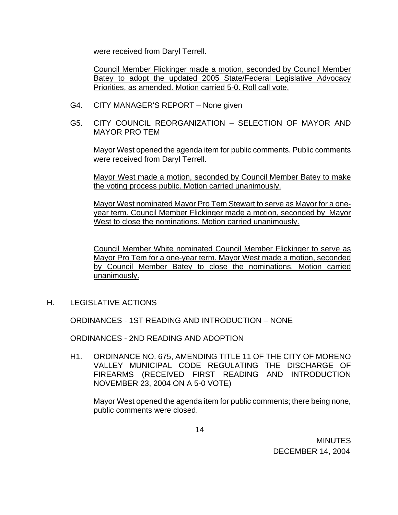were received from Daryl Terrell.

Council Member Flickinger made a motion, seconded by Council Member Batey to adopt the updated 2005 State/Federal Legislative Advocacy Priorities, as amended. Motion carried 5-0. Roll call vote.

- G4. CITY MANAGER'S REPORT None given
- G5. CITY COUNCIL REORGANIZATION SELECTION OF MAYOR AND MAYOR PRO TEM

Mayor West opened the agenda item for public comments. Public comments were received from Daryl Terrell.

 Mayor West made a motion, seconded by Council Member Batey to make the voting process public. Motion carried unanimously.

 Mayor West nominated Mayor Pro Tem Stewart to serve as Mayor for a oneyear term. Council Member Flickinger made a motion, seconded by Mayor West to close the nominations. Motion carried unanimously.

Council Member White nominated Council Member Flickinger to serve as Mayor Pro Tem for a one-year term. Mayor West made a motion, seconded by Council Member Batey to close the nominations. Motion carried unanimously.

H. LEGISLATIVE ACTIONS

ORDINANCES - 1ST READING AND INTRODUCTION – NONE

ORDINANCES - 2ND READING AND ADOPTION

 H1. ORDINANCE NO. 675, AMENDING TITLE 11 OF THE CITY OF MORENO VALLEY MUNICIPAL CODE REGULATING THE DISCHARGE OF FIREARMS (RECEIVED FIRST READING AND INTRODUCTION NOVEMBER 23, 2004 ON A 5-0 VOTE)

Mayor West opened the agenda item for public comments; there being none, public comments were closed.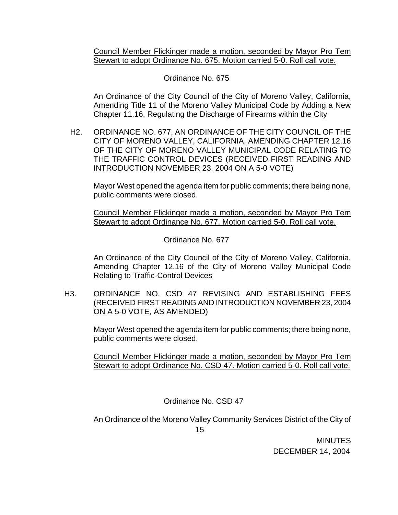Council Member Flickinger made a motion, seconded by Mayor Pro Tem Stewart to adopt Ordinance No. 675. Motion carried 5-0. Roll call vote.

### Ordinance No. 675

 An Ordinance of the City Council of the City of Moreno Valley, California, Amending Title 11 of the Moreno Valley Municipal Code by Adding a New Chapter 11.16, Regulating the Discharge of Firearms within the City

H2. ORDINANCE NO. 677, AN ORDINANCE OF THE CITY COUNCIL OF THE CITY OF MORENO VALLEY, CALIFORNIA, AMENDING CHAPTER 12.16 OF THE CITY OF MORENO VALLEY MUNICIPAL CODE RELATING TO THE TRAFFIC CONTROL DEVICES (RECEIVED FIRST READING AND INTRODUCTION NOVEMBER 23, 2004 ON A 5-0 VOTE)

Mayor West opened the agenda item for public comments; there being none, public comments were closed.

 Council Member Flickinger made a motion, seconded by Mayor Pro Tem Stewart to adopt Ordinance No. 677. Motion carried 5-0. Roll call vote.

Ordinance No. 677

 An Ordinance of the City Council of the City of Moreno Valley, California, Amending Chapter 12.16 of the City of Moreno Valley Municipal Code Relating to Traffic-Control Devices

H3. ORDINANCE NO. CSD 47 REVISING AND ESTABLISHING FEES (RECEIVED FIRST READING AND INTRODUCTION NOVEMBER 23, 2004 ON A 5-0 VOTE, AS AMENDED)

> Mayor West opened the agenda item for public comments; there being none, public comments were closed.

> Council Member Flickinger made a motion, seconded by Mayor Pro Tem Stewart to adopt Ordinance No. CSD 47. Motion carried 5-0. Roll call vote.

> > Ordinance No. CSD 47

An Ordinance of the Moreno Valley Community Services District of the City of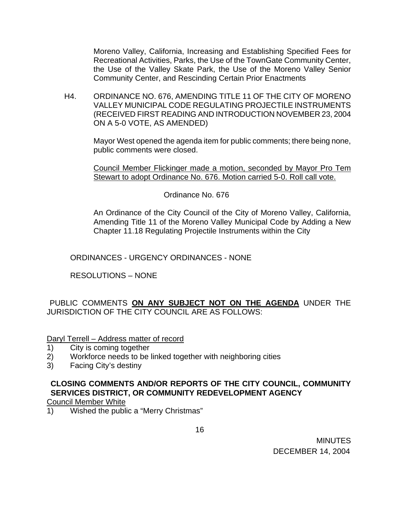Moreno Valley, California, Increasing and Establishing Specified Fees for Recreational Activities, Parks, the Use of the TownGate Community Center, the Use of the Valley Skate Park, the Use of the Moreno Valley Senior Community Center, and Rescinding Certain Prior Enactments

H4. ORDINANCE NO. 676, AMENDING TITLE 11 OF THE CITY OF MORENO VALLEY MUNICIPAL CODE REGULATING PROJECTILE INSTRUMENTS (RECEIVED FIRST READING AND INTRODUCTION NOVEMBER 23, 2004 ON A 5-0 VOTE, AS AMENDED)

> Mayor West opened the agenda item for public comments; there being none, public comments were closed.

> Council Member Flickinger made a motion, seconded by Mayor Pro Tem Stewart to adopt Ordinance No. 676. Motion carried 5-0. Roll call vote.

> > Ordinance No. 676

An Ordinance of the City Council of the City of Moreno Valley, California, Amending Title 11 of the Moreno Valley Municipal Code by Adding a New Chapter 11.18 Regulating Projectile Instruments within the City

ORDINANCES - URGENCY ORDINANCES - NONE

RESOLUTIONS – NONE

PUBLIC COMMENTS **ON ANY SUBJECT NOT ON THE AGENDA** UNDER THE JURISDICTION OF THE CITY COUNCIL ARE AS FOLLOWS:

Daryl Terrell – Address matter of record

- 1) City is coming together
- 2) Workforce needs to be linked together with neighboring cities
- 3) Facing City's destiny

# **CLOSING COMMENTS AND/OR REPORTS OF THE CITY COUNCIL, COMMUNITY SERVICES DISTRICT, OR COMMUNITY REDEVELOPMENT AGENCY**

Council Member White

1) Wished the public a "Merry Christmas"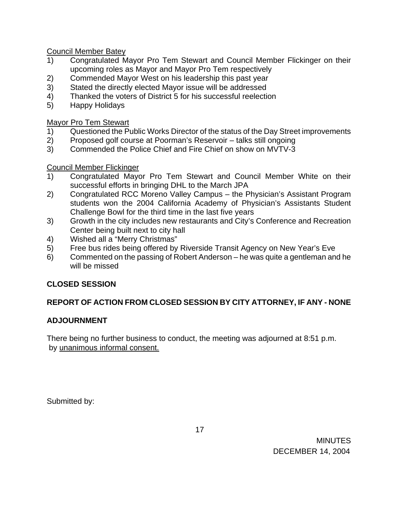Council Member Batey

- 1) Congratulated Mayor Pro Tem Stewart and Council Member Flickinger on their upcoming roles as Mayor and Mayor Pro Tem respectively
- 2) Commended Mayor West on his leadership this past year
- 3) Stated the directly elected Mayor issue will be addressed
- 4) Thanked the voters of District 5 for his successful reelection
- 5) Happy Holidays

Mayor Pro Tem Stewart

- 1) Questioned the Public Works Director of the status of the Day Street improvements
- 2) Proposed golf course at Poorman's Reservoir talks still ongoing
- 3) Commended the Police Chief and Fire Chief on show on MVTV-3

Council Member Flickinger

- 1) Congratulated Mayor Pro Tem Stewart and Council Member White on their successful efforts in bringing DHL to the March JPA
- 2) Congratulated RCC Moreno Valley Campus the Physician's Assistant Program students won the 2004 California Academy of Physician's Assistants Student Challenge Bowl for the third time in the last five years
- 3) Growth in the city includes new restaurants and City's Conference and Recreation Center being built next to city hall
- 4) Wished all a "Merry Christmas"
- 5) Free bus rides being offered by Riverside Transit Agency on New Year's Eve
- 6) Commented on the passing of Robert Anderson he was quite a gentleman and he will be missed

# **CLOSED SESSION**

# **REPORT OF ACTION FROM CLOSED SESSION BY CITY ATTORNEY, IF ANY - NONE**

# **ADJOURNMENT**

There being no further business to conduct, the meeting was adjourned at 8:51 p.m. by unanimous informal consent.

Submitted by: